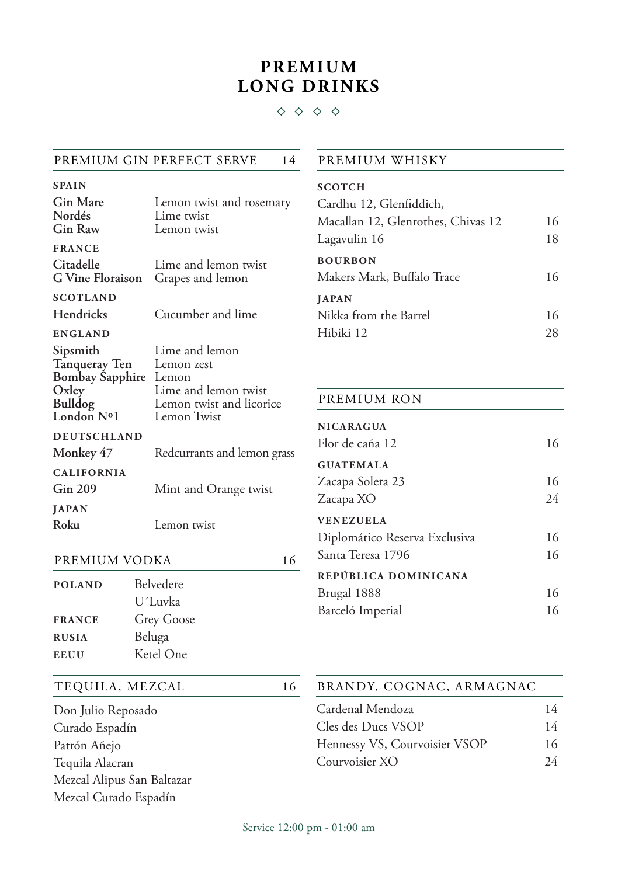# **PREMIUM LONG DRINKS**

#### $\diamond$   $\diamond$   $\diamond$

#### PREMIUM GIN PERFECT SERVE 14

| <b>SPAIN</b>                                                                                 |                                                                                                          |
|----------------------------------------------------------------------------------------------|----------------------------------------------------------------------------------------------------------|
| <b>Gin Mare</b><br>Nordés<br>Gin Raw                                                         | Lemon twist and rosemary<br>Lime twist<br>Lemon twist                                                    |
| <b>FRANCE</b>                                                                                |                                                                                                          |
| Citadelle<br><b>G</b> Vine Floraison                                                         | Lime and lemon twist<br>Grapes and lemon                                                                 |
| <b>SCOTLAND</b>                                                                              |                                                                                                          |
| Hendricks                                                                                    | Cucumber and lime                                                                                        |
| <b>ENGLAND</b>                                                                               |                                                                                                          |
| Sipsmith<br><b>Tanqueray Ten</b><br>Bombay Sapphire<br>Oxley<br><b>Bulldog</b><br>London Nº1 | Lime and lemon<br>Lemon zest<br>Lemon<br>Lime and lemon twist<br>Lemon twist and licorice<br>Lemon Twist |
| <b>DEUTSCHLAND</b>                                                                           |                                                                                                          |
| Monkey 47                                                                                    | Redcurrants and lemon grass                                                                              |
| <b>CALIFORNIA</b>                                                                            |                                                                                                          |
| <b>Gin 209</b>                                                                               | Mint and Orange twist                                                                                    |
| <b>JAPAN</b>                                                                                 |                                                                                                          |
| Roku                                                                                         | Lemon twist                                                                                              |
|                                                                                              |                                                                                                          |

| PREMIUM VODKA |            | 16 |
|---------------|------------|----|
| <b>POLAND</b> | Belvedere  |    |
|               | U'Luvka    |    |
| <b>FRANCE</b> | Grey Goose |    |
| <b>RUSIA</b>  | Beluga     |    |

#### TEQUILA, MEZCAL 16

**EEUU** Ketel One

| Don Julio Reposado         |
|----------------------------|
| Curado Espadín             |
| Patrón Añejo               |
| Tequila Alacran            |
| Mezcal Alipus San Baltazar |
| Mezcal Curado Espadín      |

#### PREMIUM WHISKY

| <b>SCOTCH</b><br>Cardhu 12, Glenfiddich,     |    |
|----------------------------------------------|----|
| Macallan 12, Glenrothes, Chivas 12           | 16 |
| Lagavulin 16                                 | 18 |
| <b>BOURBON</b><br>Makers Mark, Buffalo Trace | 16 |
| <b>JAPAN</b><br>Nikka from the Barrel        | 16 |
| Hibiki 12                                    | 28 |

## PREMIUM RON

| <b>NICARAGUA</b><br>Flor de caña 12 | 16 |
|-------------------------------------|----|
| <b>GUATEMALA</b>                    |    |
| Zacapa Solera 23                    | 16 |
| Zacapa XO                           | 24 |
| <b>VENEZUELA</b>                    |    |
| Diplomático Reserva Exclusiva       | 16 |
| Santa Teresa 1796                   | 16 |
| REPÚBLICA DOMINICANA                |    |
| Brugal 1888                         | 16 |
| Barceló Imperial                    | 16 |

## Cardenal Mendoza 14 Cles des Ducs VSOP 14 Hennessy VS, Courvoisier VSOP 16 BRANDY, COGNAC, ARMAGNAC

Courvoisier XO 24